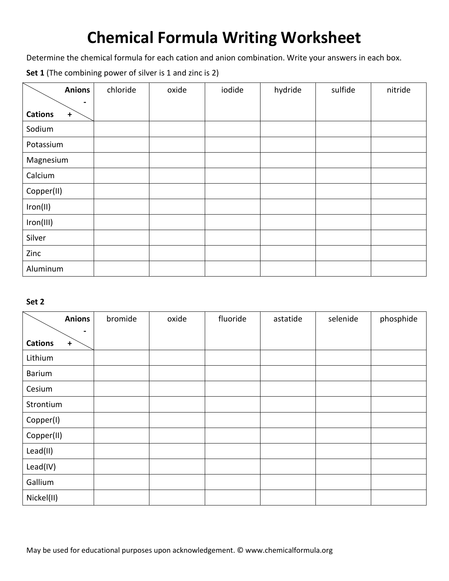# **Chemical Formula Writing Worksheet**

Determine the chemical formula for each cation and anion combination. Write your answers in each box.

**Set 1** (The combining power of silver is 1 and zinc is 2)

| <b>Anions</b>             | chloride | oxide | iodide | hydride | sulfide | nitride |
|---------------------------|----------|-------|--------|---------|---------|---------|
| $\blacksquare$            |          |       |        |         |         |         |
| <b>Cations</b><br>$\bf +$ |          |       |        |         |         |         |
| Sodium                    |          |       |        |         |         |         |
| Potassium                 |          |       |        |         |         |         |
| Magnesium                 |          |       |        |         |         |         |
| Calcium                   |          |       |        |         |         |         |
| Copper(II)                |          |       |        |         |         |         |
| Iron(II)                  |          |       |        |         |         |         |
| Iron(III)                 |          |       |        |         |         |         |
| Silver                    |          |       |        |         |         |         |
| Zinc                      |          |       |        |         |         |         |
| Aluminum                  |          |       |        |         |         |         |

### **Set 2**

| <b>Anions</b>                                 | bromide | oxide | fluoride | astatide | selenide | phosphide |
|-----------------------------------------------|---------|-------|----------|----------|----------|-----------|
| $\blacksquare$<br><b>Cations</b><br>$\ddot{}$ |         |       |          |          |          |           |
| Lithium                                       |         |       |          |          |          |           |
| Barium                                        |         |       |          |          |          |           |
| Cesium                                        |         |       |          |          |          |           |
| Strontium                                     |         |       |          |          |          |           |
| Copper(I)                                     |         |       |          |          |          |           |
| Copper(II)                                    |         |       |          |          |          |           |
| Lead(II)                                      |         |       |          |          |          |           |
| Lead(IV)                                      |         |       |          |          |          |           |
| Gallium                                       |         |       |          |          |          |           |
| Nickel(II)                                    |         |       |          |          |          |           |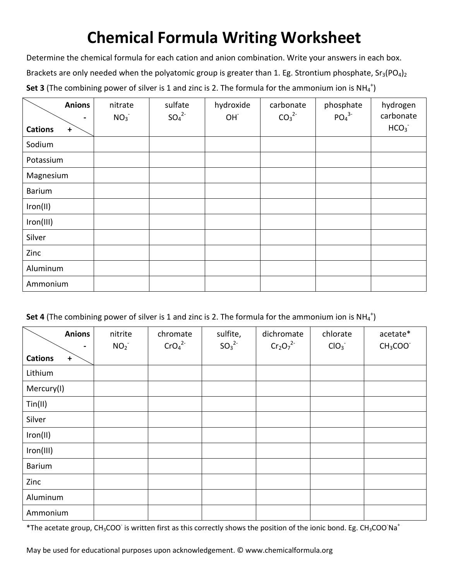# **Chemical Formula Writing Worksheet**

Determine the chemical formula for each cation and anion combination. Write your answers in each box. Brackets are only needed when the polyatomic group is greater than 1. Eg. Strontium phosphate,  $Sr_3(PO_4)_2$ **Set 3** (The combining power of silver is 1 and zinc is 2. The formula for the ammonium ion is  $NH_4^+$ )

| <b>Anions</b>               | nitrate<br>NO <sub>3</sub> | sulfate<br>SO <sub>4</sub> <sup>2</sup> | hydroxide<br>OH <sup>-</sup> | carbonate<br>CO <sub>3</sub> <sup>2</sup> | phosphate<br>PO <sub>4</sub> <sup>3</sup> | hydrogen<br>carbonate |
|-----------------------------|----------------------------|-----------------------------------------|------------------------------|-------------------------------------------|-------------------------------------------|-----------------------|
| <b>Cations</b><br>$\ddot{}$ |                            |                                         |                              |                                           |                                           | HCO <sub>3</sub>      |
| Sodium                      |                            |                                         |                              |                                           |                                           |                       |
| Potassium                   |                            |                                         |                              |                                           |                                           |                       |
| Magnesium                   |                            |                                         |                              |                                           |                                           |                       |
| <b>Barium</b>               |                            |                                         |                              |                                           |                                           |                       |
| Iron(II)                    |                            |                                         |                              |                                           |                                           |                       |
| Iron(III)                   |                            |                                         |                              |                                           |                                           |                       |
| Silver                      |                            |                                         |                              |                                           |                                           |                       |
| Zinc                        |                            |                                         |                              |                                           |                                           |                       |
| Aluminum                    |                            |                                         |                              |                                           |                                           |                       |
| Ammonium                    |                            |                                         |                              |                                           |                                           |                       |

**Set 4** (The combining power of silver is 1 and zinc is 2. The formula for the ammonium ion is  $NH_4^+$ )

|                | <b>Anions</b><br>$\blacksquare$ | nitrite<br>NO <sub>2</sub> | chromate<br>CrO <sub>4</sub> <sup>2</sup> | sulfite,<br>SO <sub>3</sub> <sup>2</sup> | dichromate<br>$Cr_2O_7^{2-}$ | chlorate<br>ClO <sub>3</sub> | acetate*<br>$CH3COO-$ |
|----------------|---------------------------------|----------------------------|-------------------------------------------|------------------------------------------|------------------------------|------------------------------|-----------------------|
| <b>Cations</b> | $\ddot{}$                       |                            |                                           |                                          |                              |                              |                       |
| Lithium        |                                 |                            |                                           |                                          |                              |                              |                       |
| Mercury(I)     |                                 |                            |                                           |                                          |                              |                              |                       |
| Tin(II)        |                                 |                            |                                           |                                          |                              |                              |                       |
| Silver         |                                 |                            |                                           |                                          |                              |                              |                       |
| Iron(II)       |                                 |                            |                                           |                                          |                              |                              |                       |
| Iron(III)      |                                 |                            |                                           |                                          |                              |                              |                       |
| Barium         |                                 |                            |                                           |                                          |                              |                              |                       |
| Zinc           |                                 |                            |                                           |                                          |                              |                              |                       |
| Aluminum       |                                 |                            |                                           |                                          |                              |                              |                       |
| Ammonium       |                                 |                            |                                           |                                          |                              |                              |                       |

\*The acetate group, CH<sub>3</sub>COO is written first as this correctly shows the position of the ionic bond. Eg. CH<sub>3</sub>COO Na<sup>+</sup>

May be used for educational purposes upon acknowledgement. © www.chemicalformula.org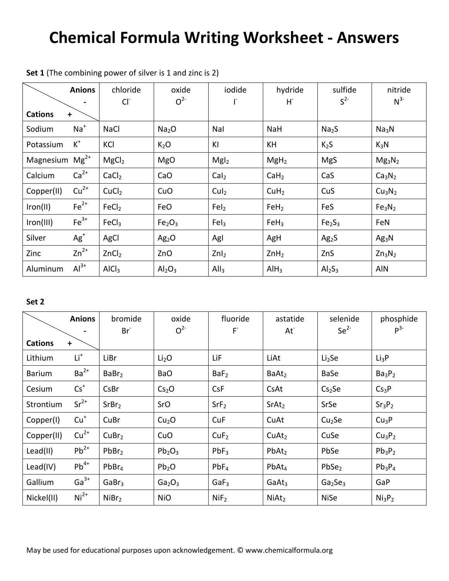### **Chemical Formula Writing Worksheet - Answers**

|                     | <b>Anions</b> | chloride          | oxide                          | iodide           | hydride          | sulfide                        | nitride                        |
|---------------------|---------------|-------------------|--------------------------------|------------------|------------------|--------------------------------|--------------------------------|
| <b>Cations</b>      | $\ddot{}$     | Cl                | O <sup>2</sup>                 |                  | H.               | S <sup>2</sup>                 | $N^{3-}$                       |
| Sodium              | $Na+$         | <b>NaCl</b>       | Na <sub>2</sub> O              | Nal              | <b>NaH</b>       | Na <sub>2</sub> S              | Na <sub>3</sub> N              |
| Potassium           | $\rm K^+$     | KCI               | K <sub>2</sub> O               | KI               | KH               | K <sub>2</sub> S               | $K_3N$                         |
| Magnesium $Mg^{2+}$ |               | MgCl <sub>2</sub> | <b>MgO</b>                     | Mgl <sub>2</sub> | MgH <sub>2</sub> | <b>MgS</b>                     | $Mg_3N_2$                      |
| Calcium             | $Ca2+$        | CaCl <sub>2</sub> | CaO                            | Cal <sub>2</sub> | CaH <sub>2</sub> | CaS                            | Ca <sub>3</sub> N <sub>2</sub> |
| Copper(II)          | $Cu2+$        | CuCl <sub>2</sub> | CuO                            | CuI <sub>2</sub> | CuH <sub>2</sub> | CuS                            | Cu <sub>3</sub> N <sub>2</sub> |
| Iron(II)            | $Fe2+$        | FeCl <sub>2</sub> | FeO                            | FeI <sub>2</sub> | FeH <sub>2</sub> | FeS                            | Fe <sub>3</sub> N <sub>2</sub> |
| Iron(III)           | $Fe3+$        | FeCl <sub>3</sub> | Fe <sub>2</sub> O <sub>3</sub> | FeI <sub>3</sub> | FeH <sub>3</sub> | Fe <sub>2</sub> S <sub>3</sub> | FeN                            |
| Silver              | $Ag+$         | AgCl              | Ag <sub>2</sub> O              | Agl              | AgH              | Ag <sub>2</sub> S              | Ag <sub>3</sub> N              |
| Zinc                | $Zn^{2+}$     | ZnCl <sub>2</sub> | ZnO                            | Znl <sub>2</sub> | ZnH <sub>2</sub> | ZnS                            | $Zn_3N_2$                      |
| Aluminum            | $Al3+$        | AlCl <sub>3</sub> | Al <sub>2</sub> O <sub>3</sub> | All <sub>3</sub> | AlH <sub>3</sub> | Al <sub>2</sub> S <sub>3</sub> | AIN                            |

**Set 1** (The combining power of silver is 1 and zinc is 2)

### **Set 2**

|                | <b>Anions</b> | bromide           | oxide                          | fluoride         | astatide          | selenide                        | phosphide                      |
|----------------|---------------|-------------------|--------------------------------|------------------|-------------------|---------------------------------|--------------------------------|
|                |               | $Br-$             | O <sup>2</sup>                 | F.               | At <sup>2</sup>   | Se <sup>2</sup>                 | $P^{3-}$                       |
| <b>Cations</b> | $\ddot{}$     |                   |                                |                  |                   |                                 |                                |
| Lithium        | $Li+$         | LiBr              | Li <sub>2</sub> O              | LiF              | LiAt              | Li <sub>2</sub> Se              | Li <sub>3</sub> P              |
| <b>Barium</b>  | $Ba2+$        | BaBr <sub>2</sub> | <b>BaO</b>                     | BaF <sub>2</sub> | BaAt <sub>2</sub> | BaSe                            | Ba <sub>3</sub> P <sub>2</sub> |
| Cesium         | $Cs^+$        | CsBr              | Cs <sub>2</sub> O              | <b>CsF</b>       | CsAt              | Cs <sub>2</sub> Se              | Cs <sub>3</sub> P              |
| Strontium      | $Sr2+$        | SrBr <sub>2</sub> | SrO                            | SrF <sub>2</sub> | SrAt <sub>2</sub> | SrSe                            | Sr <sub>3</sub> P <sub>2</sub> |
| Copper(I)      | $Cu+$         | CuBr              | Cu <sub>2</sub> O              | CuF              | CuAt              | Cu <sub>2</sub> Se              | Cu <sub>3</sub> P              |
| Copper(II)     | $Cu2+$        | CuBr <sub>2</sub> | CuO                            | CuF <sub>2</sub> | CuAt <sub>2</sub> | CuSe                            | Cu <sub>3</sub> P <sub>2</sub> |
| Lead(II)       | $Pb^{2+}$     | PbBr <sub>2</sub> | $Pb_2O_3$                      | $PbF_3$          | PbAt <sub>2</sub> | PbSe                            | $Pb_3P_2$                      |
| Lead(IV)       | $Pb^{4+}$     | PbBr <sub>4</sub> | Pb <sub>2</sub> O              | PbF <sub>4</sub> | $PbAt_4$          | PbSe <sub>2</sub>               | $Pb_3P_4$                      |
| Gallium        | $Ga^{3+}$     | GaBr <sub>3</sub> | Ga <sub>2</sub> O <sub>3</sub> | GaF <sub>3</sub> | GaAt <sub>3</sub> | Ga <sub>2</sub> Se <sub>3</sub> | GaP                            |
| Nickel(II)     | $Ni2+$        | NiBr <sub>2</sub> | <b>NiO</b>                     | NIF <sub>2</sub> | NiAt <sub>2</sub> | <b>NiSe</b>                     | Ni <sub>3</sub> P <sub>2</sub> |